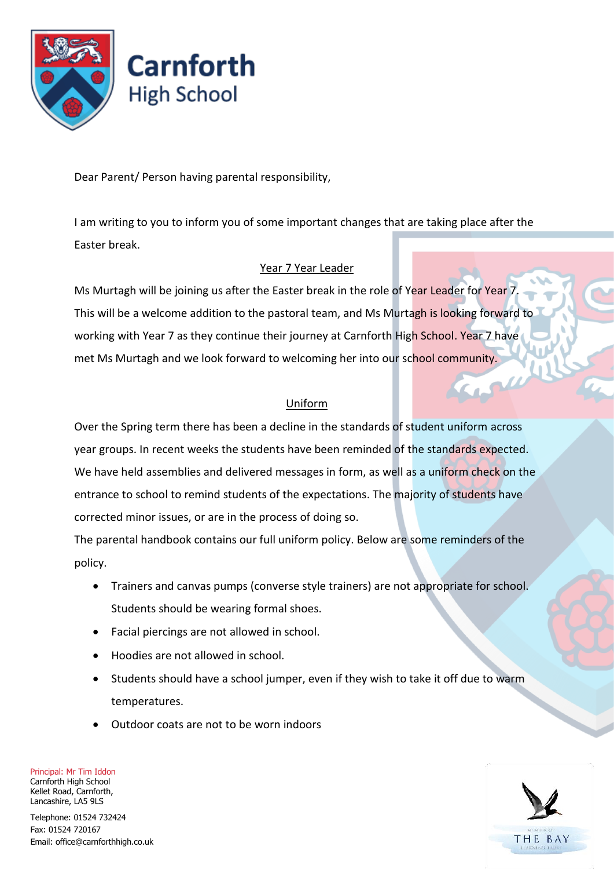

Dear Parent/ Person having parental responsibility,

I am writing to you to inform you of some important changes that are taking place after the Easter break.

## Year 7 Year Leader

Ms Murtagh will be joining us after the Easter break in the role of Year Leader for Year 7. This will be a welcome addition to the pastoral team, and Ms Murtagh is looking forward to working with Year 7 as they continue their journey at Carnforth High School. Year 7 have met Ms Murtagh and we look forward to welcoming her into our school community.

## Uniform

Over the Spring term there has been a decline in the standards of student uniform across year groups. In recent weeks the students have been reminded of the standards expected. We have held assemblies and delivered messages in form, as well as a uniform check on the entrance to school to remind students of the expectations. The majority of students have corrected minor issues, or are in the process of doing so.

The parental handbook contains our full uniform policy. Below are some reminders of the policy.

- Trainers and canvas pumps (converse style trainers) are not appropriate for school. Students should be wearing formal shoes.
- Facial piercings are not allowed in school.
- Hoodies are not allowed in school.
- Students should have a school jumper, even if they wish to take it off due to warm temperatures.
- Outdoor coats are not to be worn indoors

Principal: Mr Tim Iddon Carnforth High School Kellet Road, Carnforth, Lancashire, LA5 9LS

Telephone: 01524 732424 Fax: 01524 720167 Email: office@carnforthhigh.co.uk